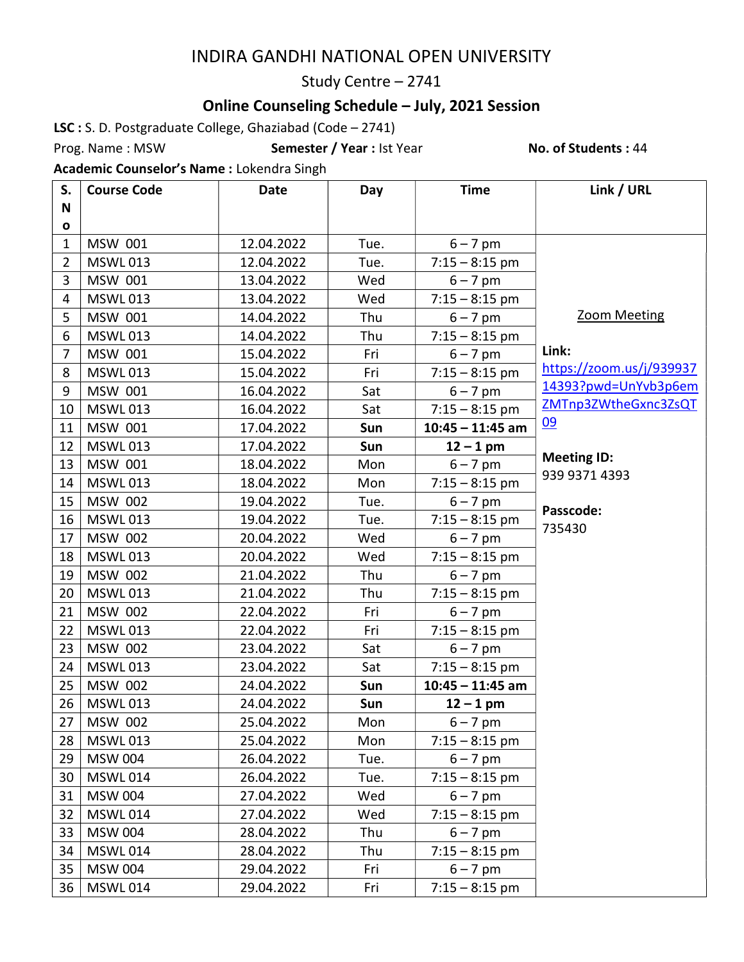## INDIRA GANDHI NATIONAL OPEN UNIVERSITY

#### Study Centre – 2741

## Online Counseling Schedule – July, 2021 Session

LSC : S. D. Postgraduate College, Ghaziabad (Code – 2741)

Prog. Name: MSW **Semester / Year** : Ist Year No. of Students : 44

Academic Counselor's Name : Lokendra Singh

| S.             | <b>Course Code</b> | <b>Date</b> | Day  | <b>Time</b>        | Link / URL                          |
|----------------|--------------------|-------------|------|--------------------|-------------------------------------|
| N              |                    |             |      |                    |                                     |
| O              |                    |             |      |                    |                                     |
| $\mathbf{1}$   | MSW 001            | 12.04.2022  | Tue. | $6 - 7$ pm         |                                     |
| $\overline{2}$ | <b>MSWL013</b>     | 12.04.2022  | Tue. | $7:15 - 8:15$ pm   |                                     |
| 3              | MSW 001            | 13.04.2022  | Wed  | $6 - 7$ pm         |                                     |
| 4              | <b>MSWL013</b>     | 13.04.2022  | Wed  | $7:15 - 8:15$ pm   |                                     |
| 5              | MSW 001            | 14.04.2022  | Thu  | $6 - 7$ pm         | <b>Zoom Meeting</b>                 |
| 6              | <b>MSWL013</b>     | 14.04.2022  | Thu  | $7:15 - 8:15$ pm   |                                     |
| 7              | MSW 001            | 15.04.2022  | Fri  | $6 - 7$ pm         | Link:                               |
| 8              | <b>MSWL013</b>     | 15.04.2022  | Fri  | $7:15 - 8:15$ pm   | https://zoom.us/j/939937            |
| 9              | MSW 001            | 16.04.2022  | Sat  | $6 - 7$ pm         | 14393?pwd=UnYvb3p6em                |
| 10             | <b>MSWL013</b>     | 16.04.2022  | Sat  | $7:15 - 8:15$ pm   | ZMTnp3ZWtheGxnc3ZsQT                |
| 11             | MSW 001            | 17.04.2022  | Sun  | $10:45 - 11:45$ am | 09                                  |
| 12             | <b>MSWL013</b>     | 17.04.2022  | Sun  | $12 - 1$ pm        |                                     |
| 13             | MSW 001            | 18.04.2022  | Mon  | $6 - 7$ pm         | <b>Meeting ID:</b><br>939 9371 4393 |
| 14             | <b>MSWL013</b>     | 18.04.2022  | Mon  | $7:15 - 8:15$ pm   |                                     |
| 15             | MSW 002            | 19.04.2022  | Tue. | $6 - 7$ pm         | Passcode:                           |
| 16             | <b>MSWL013</b>     | 19.04.2022  | Tue. | $7:15 - 8:15$ pm   | 735430                              |
| 17             | <b>MSW 002</b>     | 20.04.2022  | Wed  | $6 - 7$ pm         |                                     |
| 18             | <b>MSWL013</b>     | 20.04.2022  | Wed  | $7:15 - 8:15$ pm   |                                     |
| 19             | <b>MSW 002</b>     | 21.04.2022  | Thu  | $6 - 7$ pm         |                                     |
| 20             | <b>MSWL013</b>     | 21.04.2022  | Thu  | $7:15 - 8:15$ pm   |                                     |
| 21             | <b>MSW 002</b>     | 22.04.2022  | Fri  | $6 - 7$ pm         |                                     |
| 22             | <b>MSWL013</b>     | 22.04.2022  | Fri  | $7:15 - 8:15$ pm   |                                     |
| 23             | <b>MSW 002</b>     | 23.04.2022  | Sat  | $6 - 7$ pm         |                                     |
| 24             | <b>MSWL013</b>     | 23.04.2022  | Sat  | $7:15 - 8:15$ pm   |                                     |
| 25             | <b>MSW 002</b>     | 24.04.2022  | Sun  | $10:45 - 11:45$ am |                                     |
| 26             | <b>MSWL013</b>     | 24.04.2022  | Sun  | $12 - 1$ pm        |                                     |
| 27             | <b>MSW 002</b>     | 25.04.2022  | Mon  | $6 - 7$ pm         |                                     |
| 28             | <b>MSWL013</b>     | 25.04.2022  | Mon  | $7:15 - 8:15$ pm   |                                     |
| 29             | <b>MSW 004</b>     | 26.04.2022  | Tue. | $6 - 7$ pm         |                                     |
| 30             | <b>MSWL014</b>     | 26.04.2022  | Tue. | $7:15 - 8:15$ pm   |                                     |
| 31             | <b>MSW 004</b>     | 27.04.2022  | Wed  | $6 - 7$ pm         |                                     |
| 32             | <b>MSWL014</b>     | 27.04.2022  | Wed  | $7:15 - 8:15$ pm   |                                     |
| 33             | <b>MSW 004</b>     | 28.04.2022  | Thu  | $6 - 7$ pm         |                                     |
| 34             | <b>MSWL014</b>     | 28.04.2022  | Thu  | $7:15 - 8:15$ pm   |                                     |
| 35             | <b>MSW 004</b>     | 29.04.2022  | Fri  | $6 - 7$ pm         |                                     |
| 36             | <b>MSWL014</b>     | 29.04.2022  | Fri  | $7:15 - 8:15$ pm   |                                     |